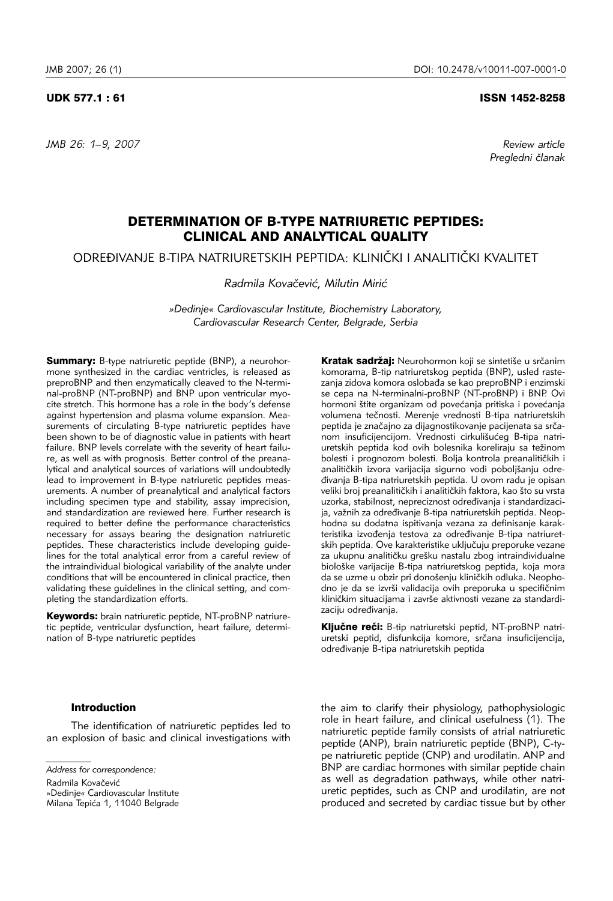*JMB 26: 1–9, 2007 Review article*

## UDK 577.1 : 61 ISSN 1452-8258

*Pregledni ~lanak*

# DETERMINATION OF B-TYPE NATRIURETIC PEPTIDES: CLINICAL AND ANALYTICAL QUALITY

ODREĐIVANJE B-TIPA NATRIURETSKIH PEPTIDA: KLINIČKI I ANALITIČKI KVALITET

*Radmila Kova~evi}, Milutin Miri}*

*»Dedinje« Cardiovascular Institute, Biochemistry Laboratory, Cardiovascular Research Center, Belgrade, Serbia*

Summary: B-type natriuretic peptide (BNP), a neurohormone synthesized in the cardiac ventricles, is released as preproBNP and then enzymatically cleaved to the N-terminal-proBNP (NT-proBNP) and BNP upon ventricular myocite stretch. This hormone has a role in the body's defense against hypertension and plasma volume expansion. Measurements of circulating B-type natriuretic peptides have been shown to be of diagnostic value in patients with heart failure. BNP levels correlate with the severity of heart failure, as well as with prognosis. Better control of the preanalytical and analytical sources of variations will undoubtedly lead to improvement in B-type natriuretic peptides measurements. A number of preanalytical and analytical factors including specimen type and stability, assay imprecision, and standardization are reviewed here. Further research is required to better define the performance characteristics necessary for assays bearing the designation natriuretic peptides. These characteristics include developing guidelines for the total analytical error from a careful review of the intraindividual biological variability of the analyte under conditions that will be encountered in clinical practice, then validating these guidelines in the clinical setting, and completing the standardization efforts.

Keywords: brain natriuretic peptide, NT-proBNP natriuretic peptide, ventricular dysfunction, heart failure, determination of B-type natriuretic peptides

Kratak sadržaj: Neurohormon koji se sintetiše u srčanim komorama, B-tip natriuretskog peptida (BNP), usled rastezanja zidova komora oslobađa se kao preproBNP i enzimski se cepa na N-terminalni-proBNP (NT-proBNP) i BNP. Ovi hormoni štite organizam od povećanja pritiska i povećanja volumena tečnosti. Merenje vrednosti B-tipa natriuretskih peptida je značajno za dijagnostikovanje pacijenata sa srčanom insuficijencijom. Vrednosti cirkulišućeg B-tipa natriuretskih peptida kod ovih bolesnika koreliraju sa težinom bolesti i prognozom bolesti. Bolja kontrola preanalitičkih i analitičkih izvora varijacija sigurno vodi pobolišanju odredivanja B-tipa natriuretskih peptida. U ovom radu je opisan veliki broj preanalitičkih i analitičkih faktora, kao što su vrsta uzorka, stabilnost, nepreciznost određivanja i standardizacija, važnih za određivanje B-tipa natriuretskih peptida. Neophodna su dodatna ispitivanja vezana za definisanje karakteristika izvođenja testova za određivanje B-tipa natriuretskih peptida. Ove karakteristike uključuju preporuke vezane za ukupnu analitičku grešku nastalu zbog intraindividualne biološke varijacije B-tipa natriuretskog peptida, koja mora da se uzme u obzir pri donošenju kliničkih odluka. Neophodno je da se izvrši validacija ovih preporuka u specifičnim kliničkim situacijama i završe aktivnosti vezane za standardizaciju određivanja.

Ključne reči: B-tip natriuretski peptid, NT-proBNP natriuretski peptid, disfunkcija komore, srčana insuficijencija, određivanje B-tipa natriuretskih peptida

## Introduction

The identification of natriuretic peptides led to an explosion of basic and clinical investigations with

»Dedinje« Cardiovascular Institute Milana Tepića 1, 11040 Belgrade the aim to clarify their physiology, pathophysiologic role in heart failure, and clinical usefulness (1). The natriuretic peptide family consists of atrial natriuretic peptide (ANP), brain natriuretic peptide (BNP), C-type natriuretic peptide (CNP) and urodilatin. ANP and BNP are cardiac hormones with similar peptide chain as well as degradation pathways, while other natriuretic peptides, such as CNP and urodilatin, are not produced and secreted by cardiac tissue but by other

*Address for correspondence:* 

Radmila Kovačević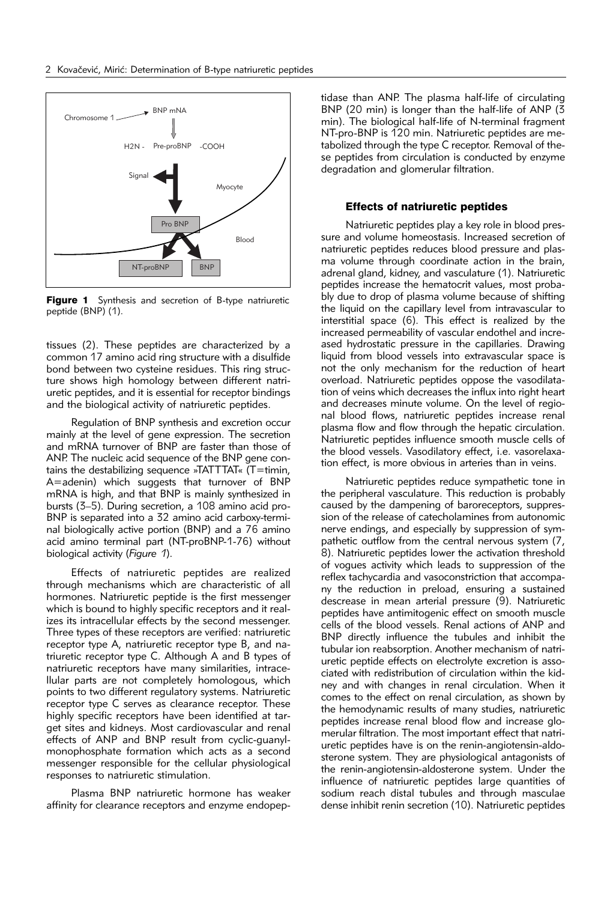

Figure 1 Synthesis and secretion of B-type natriuretic peptide (BNP) (1).

tissues (2). These peptides are characterized by a common 17 amino acid ring structure with a disulfide bond between two cysteine residues. This ring structure shows high homology between different natriuretic peptides, and it is essential for receptor bindings and the biological activity of natriuretic peptides.

Regulation of BNP synthesis and excretion occur mainly at the level of gene expression. The secretion and mRNA turnover of BNP are faster than those of ANP. The nucleic acid sequence of the BNP gene contains the destabilizing sequence »TATTTAT«  $(T=timin,$ A=adenin) which suggests that turnover of BNP mRNA is high, and that BNP is mainly synthesized in bursts (3–5). During secretion, a 108 amino acid pro-BNP is separated into a 32 amino acid carboxy-terminal biologically active portion (BNP) and a 76 amino acid amino terminal part (NT-proBNP-1-76) without biological activity (*Figure 1*).

Effects of natriuretic peptides are realized through mechanisms which are characteristic of all hormones. Natriuretic peptide is the first messenger which is bound to highly specific receptors and it realizes its intracellular effects by the second messenger. Three types of these receptors are verified: natriuretic receptor type A, natriuretic receptor type B, and natriuretic receptor type C. Although A and B types of natriuretic receptors have many similarities, intracellular parts are not completely homologous, which points to two different regulatory systems. Natriuretic receptor type C serves as clearance receptor. These highly specific receptors have been identified at target sites and kidneys. Most cardiovascular and renal effects of ANP and BNP result from cyclic-guanylmonophosphate formation which acts as a second messenger responsible for the cellular physiological responses to natriuretic stimulation.

Plasma BNP natriuretic hormone has weaker affinity for clearance receptors and enzyme endopeptidase than ANP. The plasma half-life of circulating BNP (20 min) is longer than the half-life of ANP (3 min). The biological half-life of N-terminal fragment NT-pro-BNP is 120 min. Natriuretic peptides are metabolized through the type C receptor. Removal of these peptides from circulation is conducted by enzyme degradation and glomerular filtration.

#### Effects of natriuretic peptides

Natriuretic peptides play a key role in blood pressure and volume homeostasis. Increased secretion of natriuretic peptides reduces blood pressure and plasma volume through coordinate action in the brain, adrenal gland, kidney, and vasculature (1). Natriuretic peptides increase the hematocrit values, most probably due to drop of plasma volume because of shifting the liquid on the capillary level from intravascular to interstitial space (6). This effect is realized by the increased permeability of vascular endothel and increased hydrostatic pressure in the capillaries. Drawing liquid from blood vessels into extravascular space is not the only mechanism for the reduction of heart overload. Natriuretic peptides oppose the vasodilatation of veins which decreases the influx into right heart and decreases minute volume. On the level of regional blood flows, natriuretic peptides increase renal plasma flow and flow through the hepatic circulation. Natriuretic peptides influence smooth muscle cells of the blood vessels. Vasodilatory effect, i.e. vasorelaxation effect, is more obvious in arteries than in veins.

Natriuretic peptides reduce sympathetic tone in the peripheral vasculature. This reduction is probably caused by the dampening of baroreceptors, suppression of the release of catecholamines from autonomic nerve endings, and especially by suppression of sympathetic outflow from the central nervous system (7, 8). Natriuretic peptides lower the activation threshold of vogues activity which leads to suppression of the reflex tachycardia and vasoconstriction that accompany the reduction in preload, ensuring a sustained descrease in mean arterial pressure (9). Natriuretic peptides have antimitogenic effect on smooth muscle cells of the blood vessels. Renal actions of ANP and BNP directly influence the tubules and inhibit the tubular ion reabsorption. Another mechanism of natriuretic peptide effects on electrolyte excretion is associated with redistribution of circulation within the kidney and with changes in renal circulation. When it comes to the effect on renal circulation, as shown by the hemodynamic results of many studies, natriuretic peptides increase renal blood flow and increase glomerular filtration. The most important effect that natriuretic peptides have is on the renin-angiotensin-aldosterone system. They are physiological antagonists of the renin-angiotensin-aldosterone system. Under the influence of natriuretic peptides large quantities of sodium reach distal tubules and through masculae dense inhibit renin secretion (10). Natriuretic peptides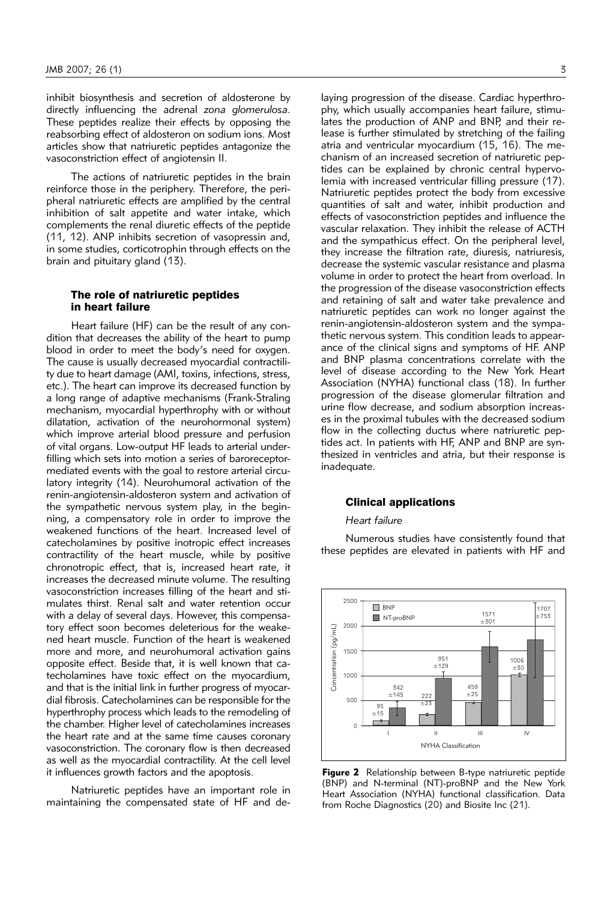inhibit biosynthesis and secretion of aldosterone by directly influencing the adrenal *zona glomerulosa*. These peptides realize their effects by opposing the reabsorbing effect of aldosteron on sodium ions. Most articles show that natriuretic peptides antagonize the vasoconstriction effect of angiotensin II.

The actions of natriuretic peptides in the brain reinforce those in the periphery. Therefore, the peripheral natriuretic effects are amplified by the central inhibition of salt appetite and water intake, which complements the renal diuretic effects of the peptide (11, 12). ANP inhibits secretion of vasopressin and, in some studies, corticotrophin through effects on the brain and pituitary gland (13).

## The role of natriuretic peptides in heart failure

Heart failure (HF) can be the result of any condition that decreases the ability of the heart to pump blood in order to meet the body's need for oxygen. The cause is usually decreased myocardial contractility due to heart damage (AMI, toxins, infections, stress, etc.). The heart can improve its decreased function by a long range of adaptive mechanisms (Frank-Straling mechanism, myocardial hyperthrophy with or without dilatation, activation of the neurohormonal system) which improve arterial blood pressure and perfusion of vital organs. Low-output HF leads to arterial underfilling which sets into motion a series of baroreceptormediated events with the goal to restore arterial circulatory integrity (14). Neurohumoral activation of the renin-angiotensin-aldosteron system and activation of the sympathetic nervous system play, in the beginning, a compensatory role in order to improve the weakened functions of the heart. Increased level of catecholamines by positive inotropic effect increases contractility of the heart muscle, while by positive chronotropic effect, that is, increased heart rate, it increases the decreased minute volume. The resulting vasoconstriction increases filling of the heart and stimulates thirst. Renal salt and water retention occur with a delay of several days. However, this compensatory effect soon becomes deleterious for the weakened heart muscle. Function of the heart is weakened more and more, and neurohumoral activation gains opposite effect. Beside that, it is well known that catecholamines have toxic effect on the myocardium, and that is the initial link in further progress of myocardial fibrosis. Catecholamines can be responsible for the hyperthrophy process which leads to the remodeling of the chamber. Higher level of catecholamines increases the heart rate and at the same time causes coronary vasoconstriction. The coronary flow is then decreased as well as the myocardial contractility. At the cell level it influences growth factors and the apoptosis.

Natriuretic peptides have an important role in maintaining the compensated state of HF and de-

laying progression of the disease. Cardiac hyperthrophy, which usually accompanies heart failure, stimulates the production of ANP and BNP, and their release is further stimulated by stretching of the failing atria and ventricular myocardium (15, 16). The mechanism of an increased secretion of natriuretic peptides can be explained by chronic central hypervolemia with increased ventricular filling pressure (17). Natriuretic peptides protect the body from excessive quantities of salt and water, inhibit production and effects of vasoconstriction peptides and influence the vascular relaxation. They inhibit the release of ACTH and the sympathicus effect. On the peripheral level, they increase the filtration rate, diuresis, natriuresis, decrease the systemic vascular resistance and plasma volume in order to protect the heart from overload. In the progression of the disease vasoconstriction effects and retaining of salt and water take prevalence and natriuretic peptides can work no longer against the renin-angiotensin-aldosteron system and the sympathetic nervous system. This condition leads to appearance of the clinical signs and symptoms of HF. ANP and BNP plasma concentrations correlate with the level of disease according to the New York Heart Association (NYHA) functional class (18). In further progression of the disease glomerular filtration and urine flow decrease, and sodium absorption increases in the proximal tubules with the decreased sodium flow in the collecting ductus where natriuretic peptides act. In patients with HF, ANP and BNP are synthesized in ventricles and atria, but their response is inadequate.

## Clinical applications

## *Heart failure*

Numerous studies have consistently found that these peptides are elevated in patients with HF and



**Figure 2** Relationship between B-type natriuretic peptide (BNP) and N-terminal (NT)-proBNP and the New York Heart Association (NYHA) functional classification. Data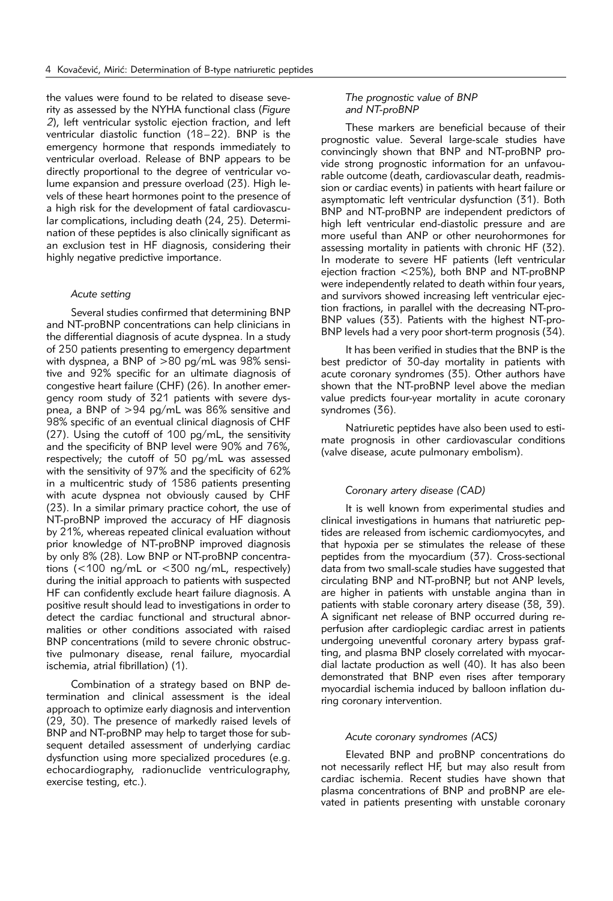the values were found to be related to disease severity as assessed by the NYHA functional class (*Figure 2*), left ventricular systolic ejection fraction, and left ventricular diastolic function (18–22). BNP is the emergency hormone that responds immediately to ventricular overload. Release of BNP appears to be directly proportional to the degree of ventricular volume expansion and pressure overload (23). High levels of these heart hormones point to the presence of a high risk for the development of fatal cardiovascular complications, including death (24, 25). Determination of these peptides is also clinically significant as an exclusion test in HF diagnosis, considering their highly negative predictive importance.

### *Acute setting*

Several studies confirmed that determining BNP and NT-proBNP concentrations can help clinicians in the differential diagnosis of acute dyspnea. In a study of 250 patients presenting to emergency department with dyspnea, a BNP of >80 pg/mL was 98% sensitive and 92% specific for an ultimate diagnosis of congestive heart failure (CHF) (26). In another emergency room study of 321 patients with severe dyspnea, a BNP of >94 pg/mL was 86% sensitive and 98% specific of an eventual clinical diagnosis of CHF (27). Using the cutoff of 100 pg/mL, the sensitivity and the specificity of BNP level were 90% and 76%, respectively; the cutoff of 50 pg/mL was assessed with the sensitivity of 97% and the specificity of 62% in a multicentric study of 1586 patients presenting with acute dyspnea not obviously caused by CHF (23). In a similar primary practice cohort, the use of NT-proBNP improved the accuracy of HF diagnosis by 21%, whereas repeated clinical evaluation without prior knowledge of NT-proBNP improved diagnosis by only 8% (28). Low BNP or NT-proBNP concentrations (<100 ng/mL or <300 ng/mL, respectively) during the initial approach to patients with suspected HF can confidently exclude heart failure diagnosis. A positive result should lead to investigations in order to detect the cardiac functional and structural abnormalities or other conditions associated with raised BNP concentrations (mild to severe chronic obstructive pulmonary disease, renal failure, myocardial ischemia, atrial fibrillation) (1).

Combination of a strategy based on BNP determination and clinical assessment is the ideal approach to optimize early diagnosis and intervention (29, 30). The presence of markedly raised levels of BNP and NT-proBNP may help to target those for subsequent detailed assessment of underlying cardiac dysfunction using more specialized procedures (e.g. echocardiography, radionuclide ventriculography, exercise testing, etc.).

## *The prognostic value of BNP and NT-proBNP*

These markers are beneficial because of their prognostic value. Several large-scale studies have convincingly shown that BNP and NT-proBNP provide strong prognostic information for an unfavourable outcome (death, cardiovascular death, readmission or cardiac events) in patients with heart failure or asymptomatic left ventricular dysfunction (31). Both BNP and NT-proBNP are independent predictors of high left ventricular end-diastolic pressure and are more useful than ANP or other neurohormones for assessing mortality in patients with chronic HF (32). In moderate to severe HF patients (left ventricular ejection fraction <25%), both BNP and NT-proBNP were independently related to death within four years, and survivors showed increasing left ventricular ejection fractions, in parallel with the decreasing NT-pro-BNP values (33). Patients with the highest NT-pro-BNP levels had a very poor short-term prognosis (34).

It has been verified in studies that the BNP is the best predictor of 30-day mortality in patients with acute coronary syndromes (35). Other authors have shown that the NT-proBNP level above the median value predicts four-year mortality in acute coronary syndromes (36).

Natriuretic peptides have also been used to estimate prognosis in other cardiovascular conditions (valve disease, acute pulmonary embolism).

## *Coronary artery disease (CAD)*

It is well known from experimental studies and clinical investigations in humans that natriuretic peptides are released from ischemic cardiomyocytes, and that hypoxia per se stimulates the release of these peptides from the myocardium (37). Cross-sectional data from two small-scale studies have suggested that circulating BNP and NT-proBNP, but not ANP levels, are higher in patients with unstable angina than in patients with stable coronary artery disease (38, 39). A significant net release of BNP occurred during reperfusion after cardioplegic cardiac arrest in patients undergoing uneventful coronary artery bypass grafting, and plasma BNP closely correlated with myocardial lactate production as well (40). It has also been demonstrated that BNP even rises after temporary myocardial ischemia induced by balloon inflation during coronary intervention.

#### *Acute coronary syndromes (ACS)*

Elevated BNP and proBNP concentrations do not necessarily reflect HF, but may also result from cardiac ischemia. Recent studies have shown that plasma concentrations of BNP and proBNP are elevated in patients presenting with unstable coronary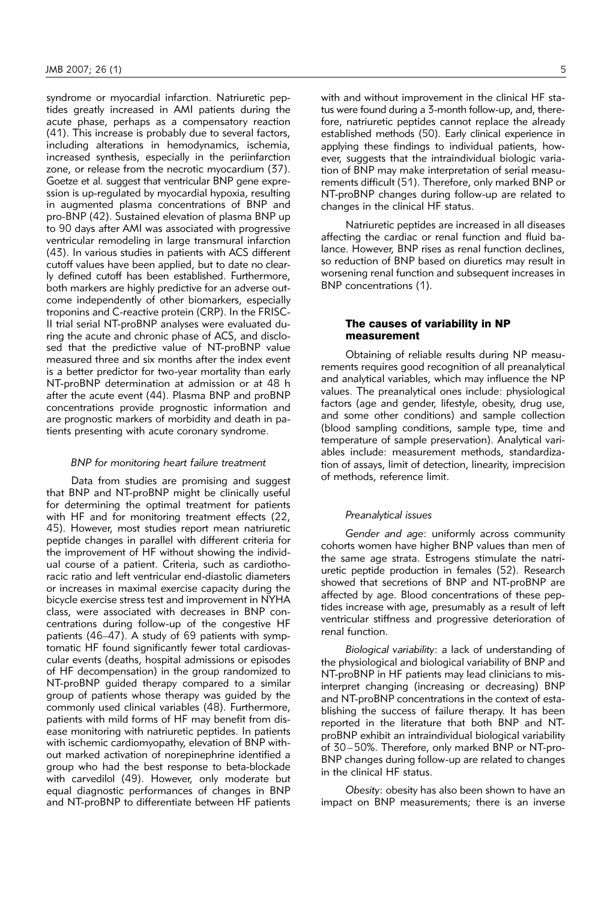syndrome or myocardial infarction. Natriuretic peptides greatly increased in AMI patients during the acute phase, perhaps as a compensatory reaction (41). This increase is probably due to several factors, including alterations in hemodynamics, ischemia, increased synthesis, especially in the periinfarction zone, or release from the necrotic myocardium (37). Goetze et al. suggest that ventricular BNP gene expression is up-regulated by myocardial hypoxia, resulting in augmented plasma concentrations of BNP and pro-BNP (42). Sustained elevation of plasma BNP up to 90 days after AMI was associated with progressive ventricular remodeling in large transmural infarction (43). In various studies in patients with ACS different cutoff values have been applied, but to date no clearly defined cutoff has been established. Furthermore, both markers are highly predictive for an adverse outcome independently of other biomarkers, especially troponins and C-reactive protein (CRP). In the FRISC-II trial serial NT-proBNP analyses were evaluated during the acute and chronic phase of ACS, and disclosed that the predictive value of NT-proBNP value measured three and six months after the index event is a better predictor for two-year mortality than early NT-proBNP determination at admission or at 48 h after the acute event (44). Plasma BNP and proBNP concentrations provide prognostic information and are prognostic markers of morbidity and death in patients presenting with acute coronary syndrome.

#### *BNP for monitoring heart failure treatment*

Data from studies are promising and suggest that BNP and NT-proBNP might be clinically useful for determining the optimal treatment for patients with HF and for monitoring treatment effects (22, 45). However, most studies report mean natriuretic peptide changes in parallel with different criteria for the improvement of HF without showing the individual course of a patient. Criteria, such as cardiothoracic ratio and left ventricular end-diastolic diameters or increases in maximal exercise capacity during the bicycle exercise stress test and improvement in NYHA class, were associated with decreases in BNP concentrations during follow-up of the congestive HF patients (46–47). A study of 69 patients with symptomatic HF found significantly fewer total cardiovascular events (deaths, hospital admissions or episodes of HF decompensation) in the group randomized to NT-proBNP guided therapy compared to a similar group of patients whose therapy was guided by the commonly used clinical variables (48). Furthermore, patients with mild forms of HF may benefit from disease monitoring with natriuretic peptides. In patients with ischemic cardiomyopathy, elevation of BNP without marked activation of norepinephrine identified a group who had the best response to beta-blockade with carvedilol (49). However, only moderate but equal diagnostic performances of changes in BNP and NT-proBNP to differentiate between HF patients with and without improvement in the clinical HF status were found during a 3-month follow-up, and, therefore, natriuretic peptides cannot replace the already established methods (50). Early clinical experience in applying these findings to individual patients, however, suggests that the intraindividual biologic variation of BNP may make interpretation of serial measurements difficult (51). Therefore, only marked BNP or NT-proBNP changes during follow-up are related to changes in the clinical HF status.

Natriuretic peptides are increased in all diseases affecting the cardiac or renal function and fluid balance. However, BNP rises as renal function declines, so reduction of BNP based on diuretics may result in worsening renal function and subsequent increases in BNP concentrations (1).

## The causes of variability in NP measurement

Obtaining of reliable results during NP measurements requires good recognition of all preanalytical and analytical variables, which may influence the NP values. The preanalytical ones include: physiological factors (age and gender, lifestyle, obesity, drug use, and some other conditions) and sample collection (blood sampling conditions, sample type, time and temperature of sample preservation). Analytical variables include: measurement methods, standardization of assays, limit of detection, linearity, imprecision of methods, reference limit.

### *Preanalytical issues*

*Gender and age*: uniformly across community cohorts women have higher BNP values than men of the same age strata. Estrogens stimulate the natriuretic peptide production in females (52). Research showed that secretions of BNP and NT-proBNP are affected by age. Blood concentrations of these peptides increase with age, presumably as a result of left ventricular stiffness and progressive deterioration of renal function.

*Biological variability*: a lack of understanding of the physiological and biological variability of BNP and NT-proBNP in HF patients may lead clinicians to misinterpret changing (increasing or decreasing) BNP and NT-proBNP concentrations in the context of establishing the success of failure therapy. It has been reported in the literature that both BNP and NTproBNP exhibit an intraindividual biological variability of 30–50%. Therefore, only marked BNP or NT-pro-BNP changes during follow-up are related to changes in the clinical HF status.

*Obesity*: obesity has also been shown to have an impact on BNP measurements; there is an inverse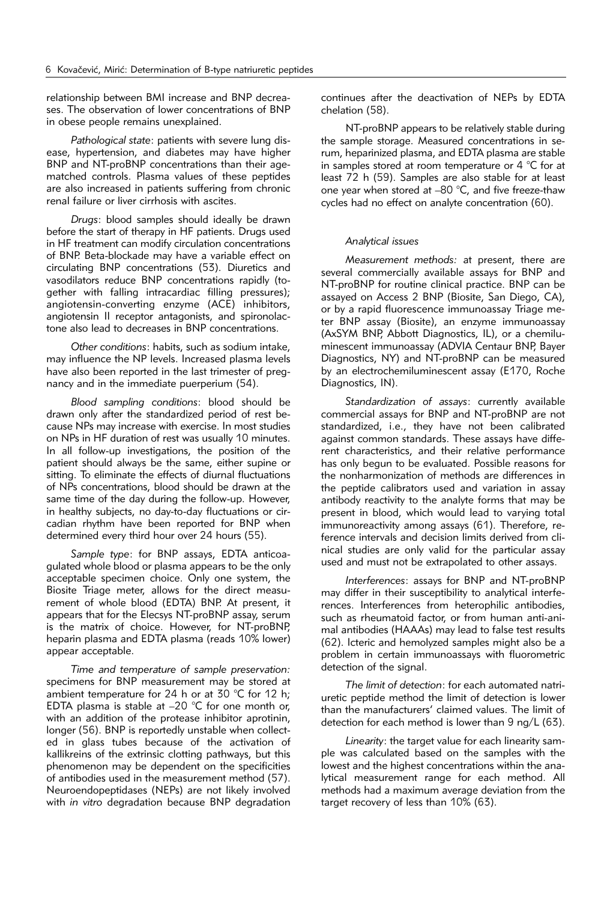relationship between BMI increase and BNP decreases. The observation of lower concentrations of BNP in obese people remains unexplained.

*Pathological state*: patients with severe lung disease, hypertension, and diabetes may have higher BNP and NT-proBNP concentrations than their agematched controls. Plasma values of these peptides are also increased in patients suffering from chronic renal failure or liver cirrhosis with ascites.

*Drugs*: blood samples should ideally be drawn before the start of therapy in HF patients. Drugs used in HF treatment can modify circulation concentrations of BNP. Beta-blockade may have a variable effect on circulating BNP concentrations (53). Diuretics and vasodilators reduce BNP concentrations rapidly (together with falling intracardiac filling pressures); angiotensin-converting enzyme (ACE) inhibitors, angiotensin II receptor antagonists, and spironolactone also lead to decreases in BNP concentrations.

*Other conditions*: habits, such as sodium intake, may influence the NP levels. Increased plasma levels have also been reported in the last trimester of pregnancy and in the immediate puerperium (54).

*Blood sampling conditions*: blood should be drawn only after the standardized period of rest because NPs may increase with exercise. In most studies on NPs in HF duration of rest was usually 10 minutes. In all follow-up investigations, the position of the patient should always be the same, either supine or sitting. To eliminate the effects of diurnal fluctuations of NPs concentrations, blood should be drawn at the same time of the day during the follow-up. However, in healthy subjects, no day-to-day fluctuations or circadian rhythm have been reported for BNP when determined every third hour over 24 hours (55).

*Sample type*: for BNP assays, EDTA anticoagulated whole blood or plasma appears to be the only acceptable specimen choice. Only one system, the Biosite Triage meter, allows for the direct measurement of whole blood (EDTA) BNP. At present, it appears that for the Elecsys NT-proBNP assay, serum is the matrix of choice. However, for NT-proBNP, heparin plasma and EDTA plasma (reads 10% lower) appear acceptable.

*Time and temperature of sample preservation:* specimens for BNP measurement may be stored at ambient temperature for 24 h or at 30 °C for 12 h; EDTA plasma is stable at  $-20$  °C for one month or, with an addition of the protease inhibitor aprotinin, longer (56). BNP is reportedly unstable when collected in glass tubes because of the activation of kallikreins of the extrinsic clotting pathways, but this phenomenon may be dependent on the specificities of antibodies used in the measurement method (57). Neuroendopeptidases (NEPs) are not likely involved with *in vitro* degradation because BNP degradation

continues after the deactivation of NEPs by EDTA chelation (58).

NT-proBNP appears to be relatively stable during the sample storage. Measured concentrations in serum, heparinized plasma, and EDTA plasma are stable in samples stored at room temperature or 4 °C for at least 72 h (59). Samples are also stable for at least one year when stored at –80 °C, and five freeze-thaw cycles had no effect on analyte concentration (60).

## *Analytical issues*

*Measurement methods:* at present, there are several commercially available assays for BNP and NT-proBNP for routine clinical practice. BNP can be assayed on Access 2 BNP (Biosite, San Diego, CA), or by a rapid fluorescence immunoassay Triage meter BNP assay (Biosite), an enzyme immunoassay (AxSYM BNP, Abbott Diagnostics, IL), or a chemiluminescent immunoassay (ADVIA Centaur BNP, Bayer Diagnostics, NY) and NT-proBNP can be measured by an electrochemiluminescent assay (E170, Roche Diagnostics, IN).

*Standardization of assays*: currently available commercial assays for BNP and NT-proBNP are not standardized, i.e., they have not been calibrated against common standards. These assays have different characteristics, and their relative performance has only begun to be evaluated. Possible reasons for the nonharmonization of methods are differences in the peptide calibrators used and variation in assay antibody reactivity to the analyte forms that may be present in blood, which would lead to varying total immunoreactivity among assays (61). Therefore, reference intervals and decision limits derived from clinical studies are only valid for the particular assay used and must not be extrapolated to other assays.

*Interferences*: assays for BNP and NT-proBNP may differ in their susceptibility to analytical interferences. Interferences from heterophilic antibodies, such as rheumatoid factor, or from human anti-animal antibodies (HAAAs) may lead to false test results (62). Icteric and hemolyzed samples might also be a problem in certain immunoassays with fluorometric detection of the signal.

*The limit of detection*: for each automated natriuretic peptide method the limit of detection is lower than the manufacturers' claimed values. The limit of detection for each method is lower than 9 ng/L (63).

*Linearity*: the target value for each linearity sample was calculated based on the samples with the lowest and the highest concentrations within the analytical measurement range for each method. All methods had a maximum average deviation from the target recovery of less than 10% (63).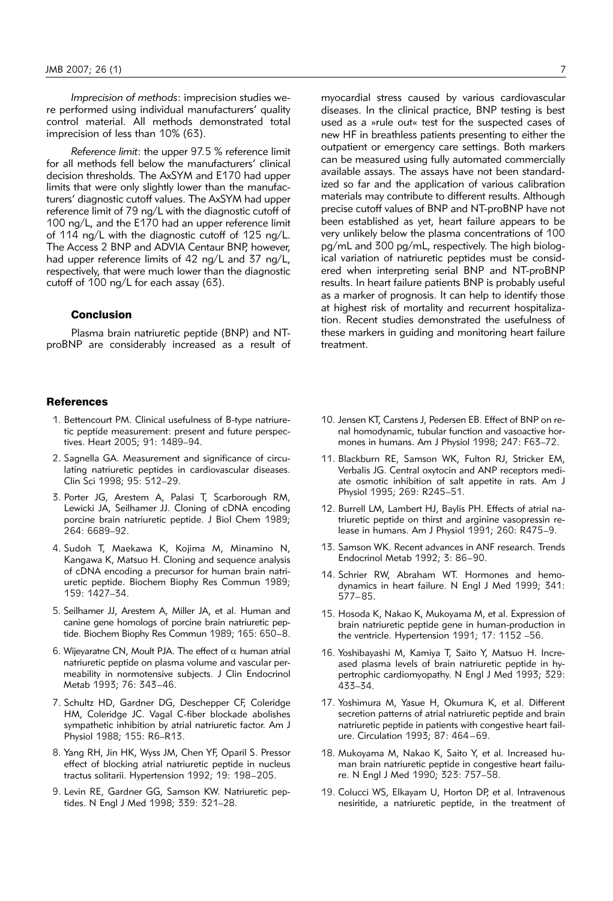*Imprecision of methods*: imprecision studies were performed using individual manufacturers' quality control material. All methods demonstrated total imprecision of less than 10% (63).

*Reference limit*: the upper 97.5 % reference limit for all methods fell below the manufacturers' clinical decision thresholds. The AxSYM and E170 had upper limits that were only slightly lower than the manufacturers' diagnostic cutoff values. The AxSYM had upper reference limit of 79 ng/L with the diagnostic cutoff of 100 ng/L, and the E170 had an upper reference limit of 114 ng/L with the diagnostic cutoff of 125 ng/L. The Access 2 BNP and ADVIA Centaur BNP, however, had upper reference limits of 42 ng/L and 37 ng/L, respectively, that were much lower than the diagnostic cutoff of 100 ng/L for each assay (63).

#### Conclusion

Plasma brain natriuretic peptide (BNP) and NTproBNP are considerably increased as a result of

#### References

- 1. Bettencourt PM. Clinical usefulness of B-type natriuretic peptide measurement: present and future perspectives. Heart 2005; 91: 1489–94.
- 2. Sagnella GA. Measurement and significance of circulating natriuretic peptides in cardiovascular diseases. Clin Sci 1998; 95: 512–29.
- 3. Porter JG, Arestem A, Palasi T, Scarborough RM, Lewicki JA, Seilhamer JJ. Cloning of cDNA encoding porcine brain natriuretic peptide. J Biol Chem 1989; 264: 6689–92.
- 4. Sudoh T, Maekawa K, Kojima M, Minamino N, Kangawa K, Matsuo H. Cloning and sequence analysis of cDNA encoding a precursor for human brain natriuretic peptide. Biochem Biophy Res Commun 1989; 159: 1427–34.
- 5. Seilhamer JJ, Arestem A, Miller JA, et al. Human and canine gene homologs of porcine brain natriuretic peptide. Biochem Biophy Res Commun 1989; 165: 650–8.
- 6. Wijeyaratne CN, Moult PJA. The effect of  $\alpha$  human atrial natriuretic peptide on plasma volume and vascular permeability in normotensive subjects. J Clin Endocrinol Metab 1993; 76: 343–46.
- 7. Schultz HD, Gardner DG, Deschepper CF, Coleridge HM, Coleridge JC. Vagal C-fiber blockade abolishes sympathetic inhibition by atrial natriuretic factor. Am J Physiol 1988; 155: R6–R13.
- 8. Yang RH, Jin HK, Wyss JM, Chen YF, Oparil S. Pressor effect of blocking atrial natriuretic peptide in nucleus tractus solitarii. Hypertension 1992; 19: 198–205.
- 9. Levin RE, Gardner GG, Samson KW. Natriuretic peptides. N Engl J Med 1998; 339: 321–28.

myocardial stress caused by various cardiovascular diseases. In the clinical practice, BNP testing is best used as a »rule out« test for the suspected cases of new HF in breathless patients presenting to either the outpatient or emergency care settings. Both markers can be measured using fully automated commercially available assays. The assays have not been standardized so far and the application of various calibration materials may contribute to different results. Although precise cutoff values of BNP and NT-proBNP have not been established as yet, heart failure appears to be very unlikely below the plasma concentrations of 100 pg/mL and 300 pg/mL, respectively. The high biological variation of natriuretic peptides must be considered when interpreting serial BNP and NT-proBNP results. In heart failure patients BNP is probably useful as a marker of prognosis. It can help to identify those at highest risk of mortality and recurrent hospitalization. Recent studies demonstrated the usefulness of these markers in guiding and monitoring heart failure treatment.

- 10. Jensen KT, Carstens J, Pedersen EB. Effect of BNP on renal homodynamic, tubular function and vasoactive hormones in humans. Am J Physiol 1998; 247: F63–72.
- 11. Blackburn RE, Samson WK, Fulton RJ, Stricker EM, Verbalis JG. Central oxytocin and ANP receptors mediate osmotic inhibition of salt appetite in rats. Am J Physiol 1995; 269: R245–51.
- 12. Burrell LM, Lambert HJ, Baylis PH. Effects of atrial natriuretic peptide on thirst and arginine vasopressin release in humans. Am J Physiol 1991; 260: R475–9.
- 13. Samson WK. Recent advances in ANF research. Trends Endocrinol Metab 1992; 3: 86–90.
- 14. Schrier RW, Abraham WT. Hormones and hemodynamics in heart failure. N Engl J Med 1999; 341: 577–85.
- 15. Hosoda K, Nakao K, Mukoyama M, et al. Expression of brain natriuretic peptide gene in human-production in the ventricle. Hypertension 1991; 17: 1152 –56.
- 16. Yoshibayashi M, Kamiya T, Saito Y, Matsuo H. Increased plasma levels of brain natriuretic peptide in hypertrophic cardiomyopathy. N Engl J Med 1993; 329: 433–34.
- 17. Yoshimura M, Yasue H, Okumura K, et al. Different secretion patterns of atrial natriuretic peptide and brain natriuretic peptide in patients with congestive heart failure. Circulation 1993; 87: 464–69.
- 18. Mukoyama M, Nakao K, Saito Y, et al. Increased human brain natriuretic peptide in congestive heart failure. N Engl J Med 1990; 323: 757–58.
- 19. Colucci WS, Elkayam U, Horton DP, et al. Intravenous nesiritide, a natriuretic peptide, in the treatment of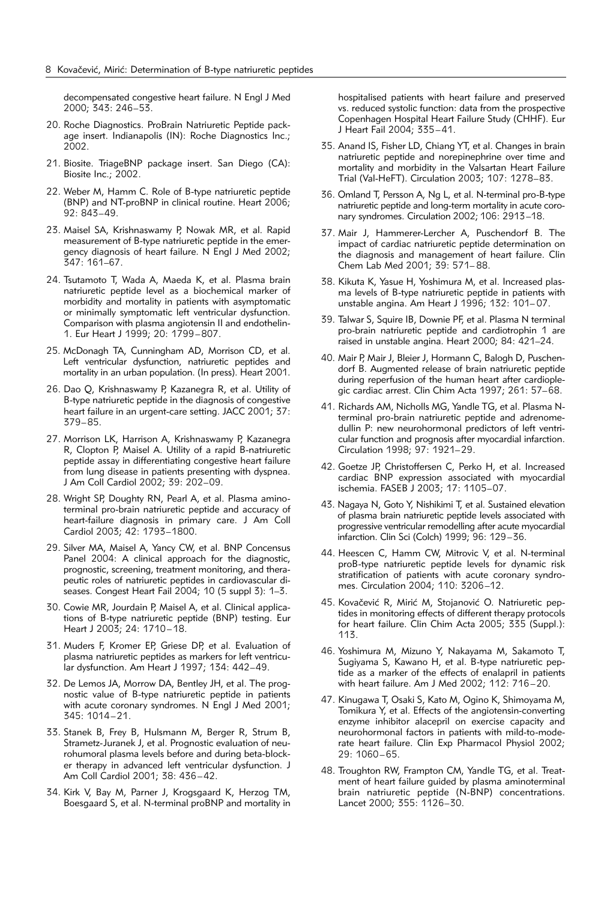decompensated congestive heart failure. N Engl J Med 2000; 343: 246–53.

- 20. Roche Diagnostics. ProBrain Natriuretic Peptide package insert. Indianapolis (IN): Roche Diagnostics Inc.; 2002.
- 21. Biosite. TriageBNP package insert. San Diego (CA): Biosite Inc.; 2002.
- 22. Weber M, Hamm C. Role of B-type natriuretic peptide (BNP) and NT-proBNP in clinical routine. Heart 2006; 92: 843–49.
- 23. Maisel SA, Krishnaswamy P, Nowak MR, et al. Rapid measurement of B-type natriuretic peptide in the emergency diagnosis of heart failure. N Engl J Med 2002; 347: 161–67.
- 24. Tsutamoto T, Wada A, Maeda K, et al. Plasma brain natriuretic peptide level as a biochemical marker of morbidity and mortality in patients with asymptomatic or minimally symptomatic left ventricular dysfunction. Comparison with plasma angiotensin II and endothelin-1. Eur Heart J 1999; 20: 1799–807.
- 25. McDonagh TA, Cunningham AD, Morrison CD, et al. Left ventricular dysfunction, natriuretic peptides and mortality in an urban population. (In press). Heart 2001.
- 26. Dao Q, Krishnaswamy P, Kazanegra R, et al. Utility of B-type natriuretic peptide in the diagnosis of congestive heart failure in an urgent-care setting. JACC 2001; 37: 379–85.
- 27. Morrison LK, Harrison A, Krishnaswamy P, Kazanegra R, Clopton P, Maisel A. Utility of a rapid B-natriuretic peptide assay in differentiating congestive heart failure from lung disease in patients presenting with dyspnea. J Am Coll Cardiol 2002; 39: 202–09.
- 28. Wright SP, Doughty RN, Pearl A, et al. Plasma aminoterminal pro-brain natriuretic peptide and accuracy of heart-failure diagnosis in primary care. J Am Coll Cardiol 2003; 42: 1793–1800.
- 29. Silver MA, Maisel A, Yancy CW, et al. BNP Concensus Panel 2004: A clinical approach for the diagnostic, prognostic, screening, treatment monitoring, and therapeutic roles of natriuretic peptides in cardiovascular diseases. Congest Heart Fail 2004; 10 (5 suppl 3): 1–3.
- 30. Cowie MR, Jourdain P, Maisel A, et al. Clinical applications of B-type natriuretic peptide (BNP) testing. Eur Heart J 2003; 24: 1710–18.
- 31. Muders F, Kromer EP, Griese DP, et al. Evaluation of plasma natriuretic peptides as markers for left ventricular dysfunction. Am Heart J 1997; 134: 442–49.
- 32. De Lemos JA, Morrow DA, Bentley JH, et al. The prognostic value of B-type natriuretic peptide in patients with acute coronary syndromes. N Engl J Med 2001; 345: 1014–21.
- 33. Stanek B, Frey B, Hulsmann M, Berger R, Strum B, Strametz-Juranek J, et al. Prognostic evaluation of neurohumoral plasma levels before and during beta-blocker therapy in advanced left ventricular dysfunction. J Am Coll Cardiol 2001; 38: 436–42.
- 34. Kirk V, Bay M, Parner J, Krogsgaard K, Herzog TM, Boesgaard S, et al. N-terminal proBNP and mortality in

hospitalised patients with heart failure and preserved vs. reduced systolic function: data from the prospective Copenhagen Hospital Heart Failure Study (CHHF). Eur J Heart Fail 2004; 335–41.

- 35. Anand IS, Fisher LD, Chiang YT, et al. Changes in brain natriuretic peptide and norepinephrine over time and mortality and morbidity in the Valsartan Heart Failure Trial (Val-HeFT). Circulation 2003; 107: 1278–83.
- 36. Omland T, Persson A, Ng L, et al. N-terminal pro-B-type natriuretic peptide and long-term mortality in acute coronary syndromes. Circulation 2002; 106: 2913–18.
- 37. Mair J, Hammerer-Lercher A, Puschendorf B. The impact of cardiac natriuretic peptide determination on the diagnosis and management of heart failure. Clin Chem Lab Med 2001; 39: 571– 88.
- 38. Kikuta K, Yasue H, Yoshimura M, et al. Increased plasma levels of B-type natriuretic peptide in patients with unstable angina. Am Heart J 1996; 132: 101– 07.
- 39. Talwar S, Squire IB, Downie PF, et al. Plasma N terminal pro-brain natriuretic peptide and cardiotrophin 1 are raised in unstable angina. Heart 2000; 84: 421–24.
- 40. Mair P, Mair J, Bleier J, Hormann C, Balogh D, Puschendorf B. Augmented release of brain natriuretic peptide during reperfusion of the human heart after cardioplegic cardiac arrest. Clin Chim Acta 1997; 261: 57–68.
- 41. Richards AM, Nicholls MG, Yandle TG, et al. Plasma Nterminal pro-brain natriuretic peptide and adrenomedullin P: new neurohormonal predictors of left ventricular function and prognosis after myocardial infarction. Circulation 1998; 97: 1921–29.
- 42. Goetze JP, Christoffersen C, Perko H, et al. Increased cardiac BNP expression associated with myocardial ischemia. FASEB J 2003; 17: 1105–07.
- 43. Nagaya N, Goto Y, Nishikimi T, et al. Sustained elevation of plasma brain natriuretic peptide levels associated with progressive ventricular remodelling after acute myocardial infarction. Clin Sci (Colch) 1999; 96: 129–36.
- 44. Heescen C, Hamm CW, Mitrovic V, et al. N-terminal proB-type natriuretic peptide levels for dynamic risk stratification of patients with acute coronary syndromes. Circulation 2004; 110: 3206–12.
- 45. Kovačević R, Mirić M, Stojanović O. Natriuretic peptides in monitoring effects of different therapy protocols for heart failure. Clin Chim Acta 2005; 335 (Suppl.): 113.
- 46. Yoshimura M, Mizuno Y, Nakayama M, Sakamoto T, Sugiyama S, Kawano H, et al. B-type natriuretic peptide as a marker of the effects of enalapril in patients with heart failure. Am J Med 2002; 112: 716–20.
- 47. Kinugawa T, Osaki S, Kato M, Ogino K, Shimoyama M, Tomikura Y, et al. Effects of the angiotensin-converting enzyme inhibitor alacepril on exercise capacity and neurohormonal factors in patients with mild-to-moderate heart failure. Clin Exp Pharmacol Physiol 2002; 29: 1060–65.
- 48. Troughton RW, Frampton CM, Yandle TG, et al. Treatment of heart failure guided by plasma aminoterminal brain natriuretic peptide (N-BNP) concentrations. Lancet 2000; 355: 1126–30.